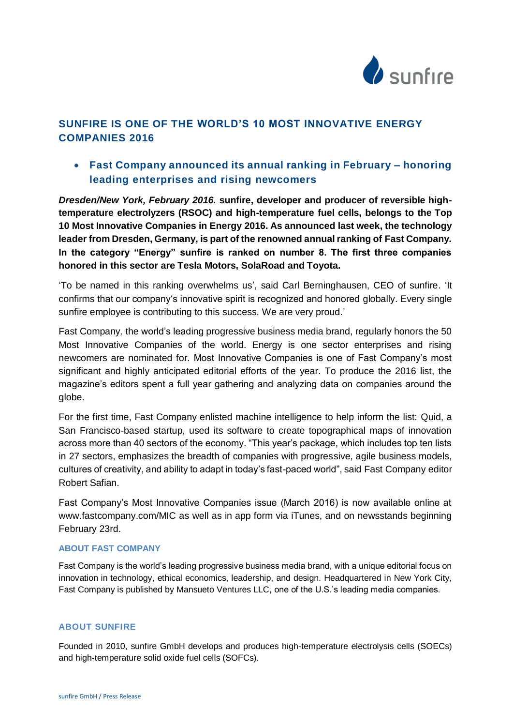

# **SUNFIRE IS ONE OF THE WORLD'S 10 MOST INNOVATIVE ENERGY COMPANIES 2016**

## **Fast Company announced its annual ranking in February – honoring leading enterprises and rising newcomers**

*Dresden/New York, February 2016.* **sunfire, developer and producer of reversible hightemperature electrolyzers (RSOC) and high-temperature fuel cells, belongs to the Top 10 Most Innovative Companies in Energy 2016. As announced last week, the technology leader from Dresden, Germany, is part of the renowned annual ranking of Fast Company***.* **In the category "Energy" sunfire is ranked on number 8. The first three companies honored in this sector are Tesla Motors, SolaRoad and Toyota.**

'To be named in this ranking overwhelms us', said Carl Berninghausen, CEO of sunfire. 'It confirms that our company's innovative spirit is recognized and honored globally. Every single sunfire employee is contributing to this success. We are very proud.'

Fast Company*,* the world's leading progressive business media brand, regularly honors the 50 Most Innovative Companies of the world. Energy is one sector enterprises and rising newcomers are nominated for. Most Innovative Companies is one of Fast Company's most significant and highly anticipated editorial efforts of the year. To produce the 2016 list, the magazine's editors spent a full year gathering and analyzing data on companies around the globe.

For the first time, Fast Company enlisted machine intelligence to help inform the list: Quid, a San Francisco-based startup, used its software to create topographical maps of innovation across more than 40 sectors of the economy. "This year's package, which includes top ten lists in 27 sectors, emphasizes the breadth of companies with progressive, agile business models, cultures of creativity, and ability to adapt in today's fast-paced world", said Fast Company editor Robert Safian.

Fast Company's Most Innovative Companies issue (March 2016) is now available online at [www.fastcompany.com/MIC](http://www.fastcompany.com/MIC) as well as in app form via iTunes, and on newsstands beginning February 23rd.

### **ABOUT FAST COMPANY**

Fast Company is the world's leading progressive business media brand, with a unique editorial focus on innovation in technology, ethical economics, leadership, and design. Headquartered in New York City, Fast Company is published by Mansueto Ventures LLC, one of the U.S.'s leading media companies.

### **ABOUT SUNFIRE**

Founded in 2010, sunfire GmbH develops and produces high-temperature electrolysis cells (SOECs) and high-temperature solid oxide fuel cells (SOFCs).